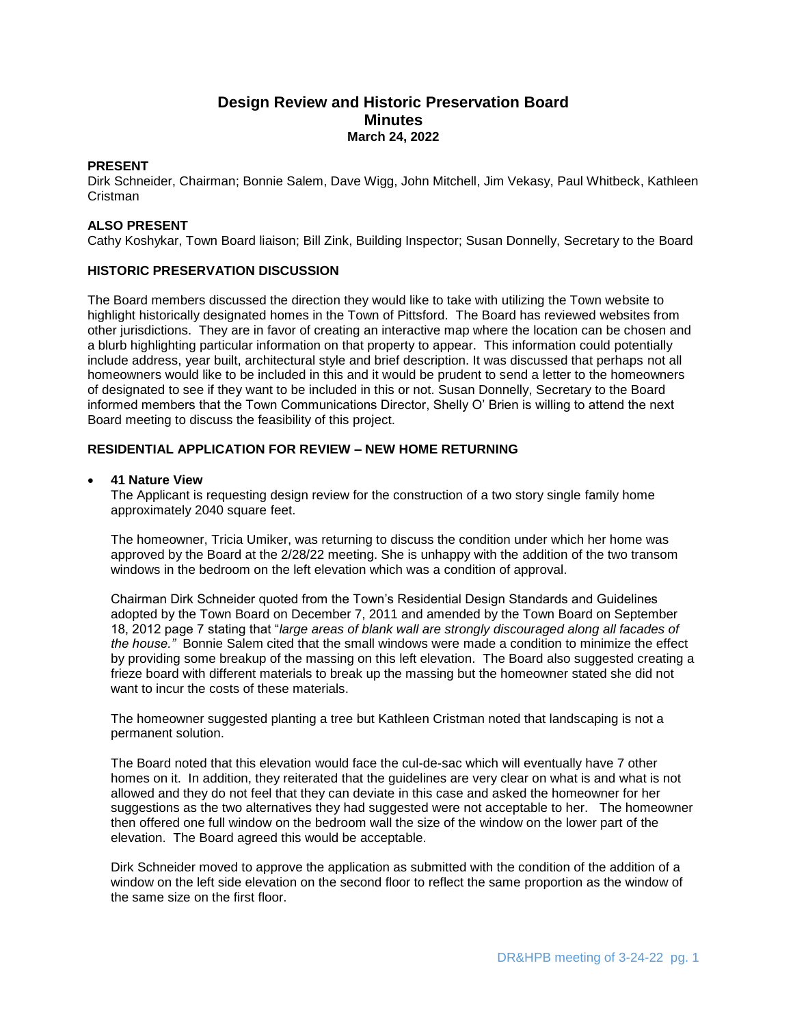# **Design Review and Historic Preservation Board Minutes March 24, 2022**

### **PRESENT**

Dirk Schneider, Chairman; Bonnie Salem, Dave Wigg, John Mitchell, Jim Vekasy, Paul Whitbeck, Kathleen Cristman

## **ALSO PRESENT**

Cathy Koshykar, Town Board liaison; Bill Zink, Building Inspector; Susan Donnelly, Secretary to the Board

## **HISTORIC PRESERVATION DISCUSSION**

The Board members discussed the direction they would like to take with utilizing the Town website to highlight historically designated homes in the Town of Pittsford. The Board has reviewed websites from other jurisdictions. They are in favor of creating an interactive map where the location can be chosen and a blurb highlighting particular information on that property to appear. This information could potentially include address, year built, architectural style and brief description. It was discussed that perhaps not all homeowners would like to be included in this and it would be prudent to send a letter to the homeowners of designated to see if they want to be included in this or not. Susan Donnelly, Secretary to the Board informed members that the Town Communications Director, Shelly O' Brien is willing to attend the next Board meeting to discuss the feasibility of this project.

## **RESIDENTIAL APPLICATION FOR REVIEW – NEW HOME RETURNING**

### **41 Nature View**

The Applicant is requesting design review for the construction of a two story single family home approximately 2040 square feet.

The homeowner, Tricia Umiker, was returning to discuss the condition under which her home was approved by the Board at the 2/28/22 meeting. She is unhappy with the addition of the two transom windows in the bedroom on the left elevation which was a condition of approval.

Chairman Dirk Schneider quoted from the Town's Residential Design Standards and Guidelines adopted by the Town Board on December 7, 2011 and amended by the Town Board on September 18, 2012 page 7 stating that "*large areas of blank wall are strongly discouraged along all facades of the house."* Bonnie Salem cited that the small windows were made a condition to minimize the effect by providing some breakup of the massing on this left elevation. The Board also suggested creating a frieze board with different materials to break up the massing but the homeowner stated she did not want to incur the costs of these materials.

The homeowner suggested planting a tree but Kathleen Cristman noted that landscaping is not a permanent solution.

The Board noted that this elevation would face the cul-de-sac which will eventually have 7 other homes on it. In addition, they reiterated that the guidelines are very clear on what is and what is not allowed and they do not feel that they can deviate in this case and asked the homeowner for her suggestions as the two alternatives they had suggested were not acceptable to her. The homeowner then offered one full window on the bedroom wall the size of the window on the lower part of the elevation. The Board agreed this would be acceptable.

Dirk Schneider moved to approve the application as submitted with the condition of the addition of a window on the left side elevation on the second floor to reflect the same proportion as the window of the same size on the first floor.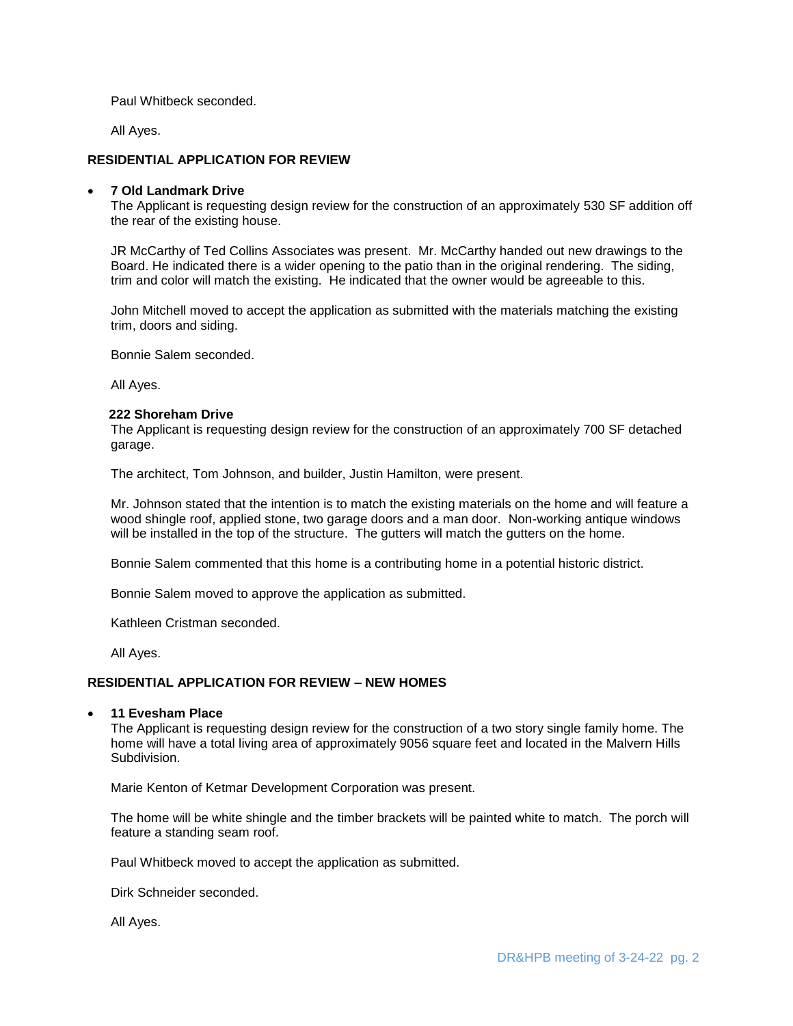Paul Whitbeck seconded.

All Ayes.

### **RESIDENTIAL APPLICATION FOR REVIEW**

#### **7 Old Landmark Drive**

The Applicant is requesting design review for the construction of an approximately 530 SF addition off the rear of the existing house.

JR McCarthy of Ted Collins Associates was present. Mr. McCarthy handed out new drawings to the Board. He indicated there is a wider opening to the patio than in the original rendering. The siding, trim and color will match the existing. He indicated that the owner would be agreeable to this.

John Mitchell moved to accept the application as submitted with the materials matching the existing trim, doors and siding.

Bonnie Salem seconded.

All Ayes.

#### **222 Shoreham Drive**

The Applicant is requesting design review for the construction of an approximately 700 SF detached garage.

The architect, Tom Johnson, and builder, Justin Hamilton, were present.

Mr. Johnson stated that the intention is to match the existing materials on the home and will feature a wood shingle roof, applied stone, two garage doors and a man door. Non-working antique windows will be installed in the top of the structure. The gutters will match the gutters on the home.

Bonnie Salem commented that this home is a contributing home in a potential historic district.

Bonnie Salem moved to approve the application as submitted.

Kathleen Cristman seconded.

All Ayes.

### **RESIDENTIAL APPLICATION FOR REVIEW – NEW HOMES**

#### **11 Evesham Place**

The Applicant is requesting design review for the construction of a two story single family home. The home will have a total living area of approximately 9056 square feet and located in the Malvern Hills Subdivision.

Marie Kenton of Ketmar Development Corporation was present.

The home will be white shingle and the timber brackets will be painted white to match. The porch will feature a standing seam roof.

Paul Whitbeck moved to accept the application as submitted.

Dirk Schneider seconded.

All Ayes.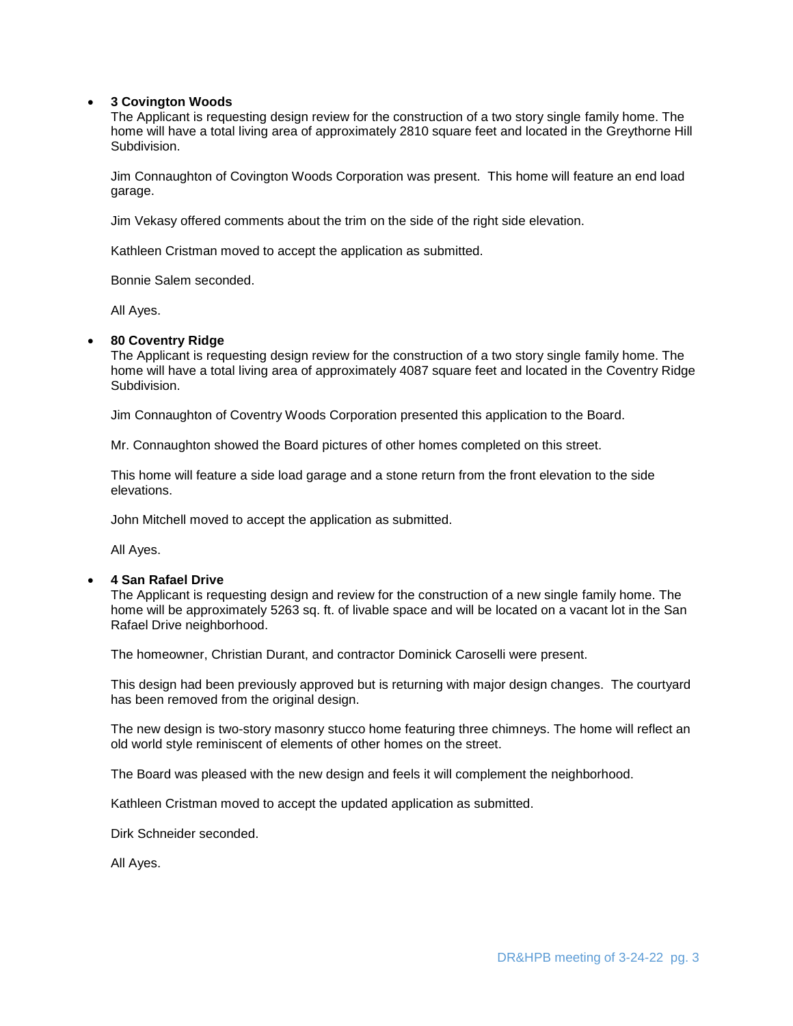### **3 Covington Woods**

The Applicant is requesting design review for the construction of a two story single family home. The home will have a total living area of approximately 2810 square feet and located in the Greythorne Hill Subdivision.

Jim Connaughton of Covington Woods Corporation was present. This home will feature an end load garage.

Jim Vekasy offered comments about the trim on the side of the right side elevation.

Kathleen Cristman moved to accept the application as submitted.

Bonnie Salem seconded.

All Ayes.

#### **80 Coventry Ridge**

The Applicant is requesting design review for the construction of a two story single family home. The home will have a total living area of approximately 4087 square feet and located in the Coventry Ridge Subdivision.

Jim Connaughton of Coventry Woods Corporation presented this application to the Board.

Mr. Connaughton showed the Board pictures of other homes completed on this street.

This home will feature a side load garage and a stone return from the front elevation to the side elevations.

John Mitchell moved to accept the application as submitted.

All Ayes.

### **4 San Rafael Drive**

The Applicant is requesting design and review for the construction of a new single family home. The home will be approximately 5263 sq. ft. of livable space and will be located on a vacant lot in the San Rafael Drive neighborhood.

The homeowner, Christian Durant, and contractor Dominick Caroselli were present.

This design had been previously approved but is returning with major design changes. The courtyard has been removed from the original design.

The new design is two-story masonry stucco home featuring three chimneys. The home will reflect an old world style reminiscent of elements of other homes on the street.

The Board was pleased with the new design and feels it will complement the neighborhood.

Kathleen Cristman moved to accept the updated application as submitted.

Dirk Schneider seconded.

All Ayes.